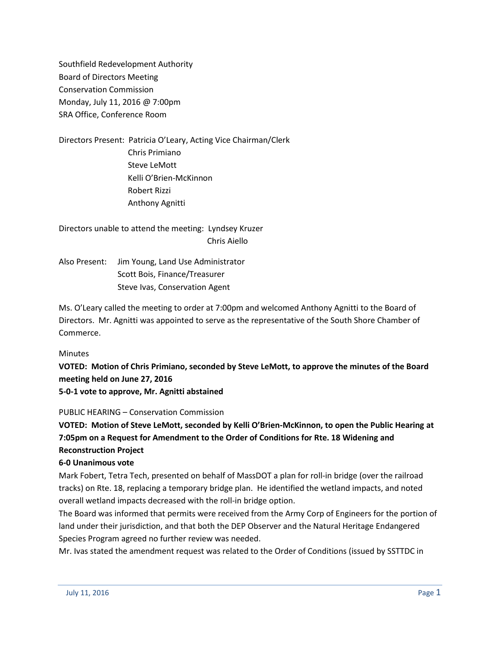Southfield Redevelopment Authority Board of Directors Meeting Conservation Commission Monday, July 11, 2016 @ 7:00pm SRA Office, Conference Room

Directors Present: Patricia O'Leary, Acting Vice Chairman/Clerk Chris Primiano Steve LeMott Kelli O'Brien-McKinnon Robert Rizzi Anthony Agnitti

Directors unable to attend the meeting: Lyndsey Kruzer Chris Aiello

Also Present: Jim Young, Land Use Administrator Scott Bois, Finance/Treasurer Steve Ivas, Conservation Agent

Ms. O'Leary called the meeting to order at 7:00pm and welcomed Anthony Agnitti to the Board of Directors. Mr. Agnitti was appointed to serve as the representative of the South Shore Chamber of Commerce.

### Minutes

**VOTED: Motion of Chris Primiano, seconded by Steve LeMott, to approve the minutes of the Board meeting held on June 27, 2016**

**5-0-1 vote to approve, Mr. Agnitti abstained**

## PUBLIC HEARING – Conservation Commission

**VOTED: Motion of Steve LeMott, seconded by Kelli O'Brien-McKinnon, to open the Public Hearing at 7:05pm on a Request for Amendment to the Order of Conditions for Rte. 18 Widening and Reconstruction Project**

## **6-0 Unanimous vote**

Mark Fobert, Tetra Tech, presented on behalf of MassDOT a plan for roll-in bridge (over the railroad tracks) on Rte. 18, replacing a temporary bridge plan. He identified the wetland impacts, and noted overall wetland impacts decreased with the roll-in bridge option.

The Board was informed that permits were received from the Army Corp of Engineers for the portion of land under their jurisdiction, and that both the DEP Observer and the Natural Heritage Endangered Species Program agreed no further review was needed.

Mr. Ivas stated the amendment request was related to the Order of Conditions (issued by SSTTDC in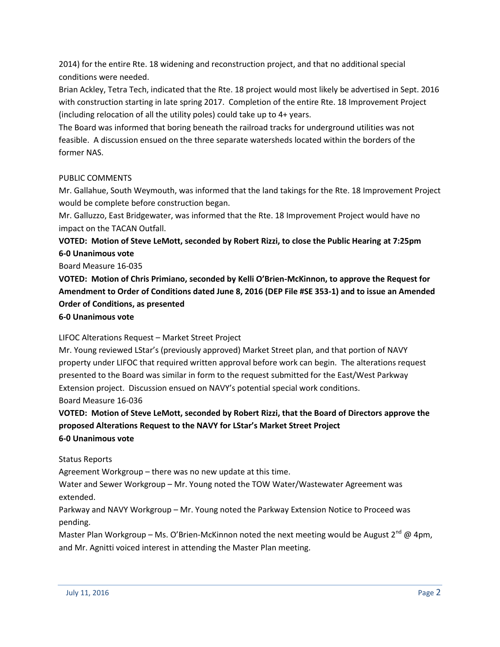2014) for the entire Rte. 18 widening and reconstruction project, and that no additional special conditions were needed.

Brian Ackley, Tetra Tech, indicated that the Rte. 18 project would most likely be advertised in Sept. 2016 with construction starting in late spring 2017. Completion of the entire Rte. 18 Improvement Project (including relocation of all the utility poles) could take up to 4+ years.

The Board was informed that boring beneath the railroad tracks for underground utilities was not feasible. A discussion ensued on the three separate watersheds located within the borders of the former NAS.

## PUBLIC COMMENTS

Mr. Gallahue, South Weymouth, was informed that the land takings for the Rte. 18 Improvement Project would be complete before construction began.

Mr. Galluzzo, East Bridgewater, was informed that the Rte. 18 Improvement Project would have no impact on the TACAN Outfall.

**VOTED: Motion of Steve LeMott, seconded by Robert Rizzi, to close the Public Hearing at 7:25pm 6-0 Unanimous vote**

Board Measure 16-035

**VOTED: Motion of Chris Primiano, seconded by Kelli O'Brien-McKinnon, to approve the Request for Amendment to Order of Conditions dated June 8, 2016 (DEP File #SE 353-1) and to issue an Amended Order of Conditions, as presented**

**6-0 Unanimous vote**

## LIFOC Alterations Request – Market Street Project

Mr. Young reviewed LStar's (previously approved) Market Street plan, and that portion of NAVY property under LIFOC that required written approval before work can begin. The alterations request presented to the Board was similar in form to the request submitted for the East/West Parkway Extension project. Discussion ensued on NAVY's potential special work conditions. Board Measure 16-036

**VOTED: Motion of Steve LeMott, seconded by Robert Rizzi, that the Board of Directors approve the proposed Alterations Request to the NAVY for LStar's Market Street Project 6-0 Unanimous vote**

## Status Reports

Agreement Workgroup – there was no new update at this time.

Water and Sewer Workgroup – Mr. Young noted the TOW Water/Wastewater Agreement was extended.

Parkway and NAVY Workgroup – Mr. Young noted the Parkway Extension Notice to Proceed was pending.

Master Plan Workgroup – Ms. O'Brien-McKinnon noted the next meeting would be August  $2^{nd}$  @ 4pm, and Mr. Agnitti voiced interest in attending the Master Plan meeting.